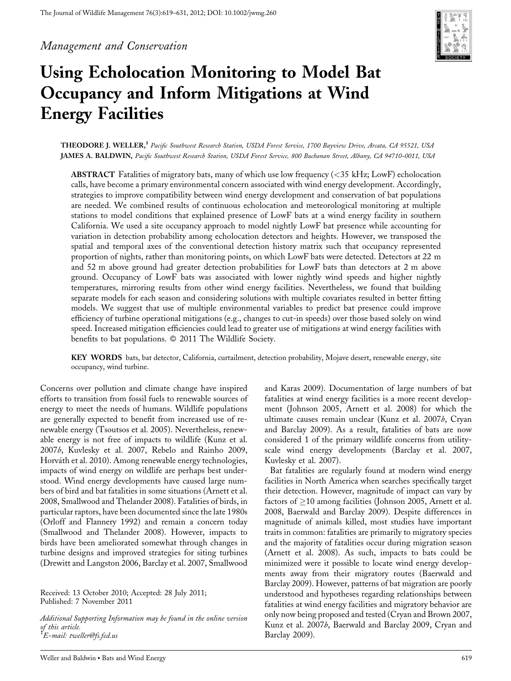## Management and Conservation



# Using Echolocation Monitoring to Model Bat Occupancy and Inform Mitigations at Wind Energy Facilities

THEODORE J. WELLER,<sup>1</sup> Pacific Southwest Research Station, USDA Forest Service, 1700 Bayview Drive, Arcata, CA 95521, USA JAMES A. BALDWIN, Pacific Southwest Research Station, USDA Forest Service, 800 Buchanan Street, Albany, CA 94710-0011, USA

ABSTRACT Fatalities of migratory bats, many of which use low frequency (<35 kHz; LowF) echolocation calls, have become a primary environmental concern associated with wind energy development. Accordingly, strategies to improve compatibility between wind energy development and conservation of bat populations are needed. We combined results of continuous echolocation and meteorological monitoring at multiple stations to model conditions that explained presence of LowF bats at a wind energy facility in southern California. We used a site occupancy approach to model nightly LowF bat presence while accounting for variation in detection probability among echolocation detectors and heights. However, we transposed the spatial and temporal axes of the conventional detection history matrix such that occupancy represented proportion of nights, rather than monitoring points, on which LowF bats were detected. Detectors at 22 m and 52 m above ground had greater detection probabilities for LowF bats than detectors at 2 m above ground. Occupancy of LowF bats was associated with lower nightly wind speeds and higher nightly temperatures, mirroring results from other wind energy facilities. Nevertheless, we found that building separate models for each season and considering solutions with multiple covariates resulted in better fitting models. We suggest that use of multiple environmental variables to predict bat presence could improve efficiency of turbine operational mitigations (e.g., changes to cut-in speeds) over those based solely on wind speed. Increased mitigation efficiencies could lead to greater use of mitigations at wind energy facilities with benefits to bat populations.  $©$  2011 The Wildlife Society.

KEY WORDS bats, bat detector, California, curtailment, detection probability, Mojave desert, renewable energy, site occupancy, wind turbine.

Concerns over pollution and climate change have inspired efforts to transition from fossil fuels to renewable sources of energy to meet the needs of humans. Wildlife populations are generally expected to benefit from increased use of renewable energy (Tsoutsos et al. 2005). Nevertheless, renewable energy is not free of impacts to wildlife (Kunz et al. 2007b, Kuvlesky et al. 2007, Rebelo and Rainho 2009, Horváth et al. 2010). Among renewable energy technologies, impacts of wind energy on wildlife are perhaps best understood. Wind energy developments have caused large numbers of bird and bat fatalities in some situations (Arnett et al. 2008, Smallwood and Thelander 2008). Fatalities of birds, in particular raptors, have been documented since the late 1980s (Orloff and Flannery 1992) and remain a concern today (Smallwood and Thelander 2008). However, impacts to birds have been ameliorated somewhat through changes in turbine designs and improved strategies for siting turbines (Drewitt and Langston 2006, Barclay et al. 2007, Smallwood

Received: 13 October 2010; Accepted: 28 July 2011; Published: 7 November 2011

Additional Supporting Information may be found in the online version of this article.<br><sup>1</sup>E-mail: tweller@fs.fed.us

and Karas 2009). Documentation of large numbers of bat fatalities at wind energy facilities is a more recent development (Johnson 2005, Arnett et al. 2008) for which the ultimate causes remain unclear (Kunz et al. 2007b, Cryan and Barclay 2009). As a result, fatalities of bats are now considered 1 of the primary wildlife concerns from utilityscale wind energy developments (Barclay et al. 2007, Kuvlesky et al. 2007).

Bat fatalities are regularly found at modern wind energy facilities in North America when searches specifically target their detection. However, magnitude of impact can vary by factors of  $\geq$ 10 among facilities (Johnson 2005, Arnett et al. 2008, Baerwald and Barclay 2009). Despite differences in magnitude of animals killed, most studies have important traits in common: fatalities are primarily to migratory species and the majority of fatalities occur during migration season (Arnett et al. 2008). As such, impacts to bats could be minimized were it possible to locate wind energy developments away from their migratory routes (Baerwald and Barclay 2009). However, patterns of bat migration are poorly understood and hypotheses regarding relationships between fatalities at wind energy facilities and migratory behavior are only now being proposed and tested (Cryan and Brown 2007, Kunz et al. 2007b, Baerwald and Barclay 2009, Cryan and Barclay 2009).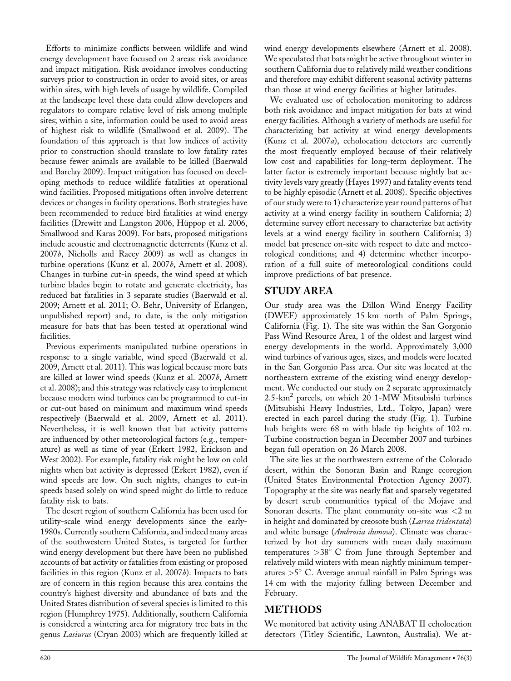Efforts to minimize conflicts between wildlife and wind energy development have focused on 2 areas: risk avoidance and impact mitigation. Risk avoidance involves conducting surveys prior to construction in order to avoid sites, or areas within sites, with high levels of usage by wildlife. Compiled at the landscape level these data could allow developers and regulators to compare relative level of risk among multiple sites; within a site, information could be used to avoid areas of highest risk to wildlife (Smallwood et al. 2009). The foundation of this approach is that low indices of activity prior to construction should translate to low fatality rates because fewer animals are available to be killed (Baerwald and Barclay 2009). Impact mitigation has focused on developing methods to reduce wildlife fatalities at operational wind facilities. Proposed mitigations often involve deterrent devices or changes in facility operations. Both strategies have been recommended to reduce bird fatalities at wind energy facilities (Drewitt and Langston 2006, Hüppop et al. 2006, Smallwood and Karas 2009). For bats, proposed mitigations include acoustic and electromagnetic deterrents (Kunz et al. 2007b, Nicholls and Racey 2009) as well as changes in turbine operations (Kunz et al. 2007b, Arnett et al. 2008). Changes in turbine cut-in speeds, the wind speed at which turbine blades begin to rotate and generate electricity, has reduced bat fatalities in 3 separate studies (Baerwald et al. 2009; Arnett et al. 2011; O. Behr, University of Erlangen, unpublished report) and, to date, is the only mitigation measure for bats that has been tested at operational wind facilities.

Previous experiments manipulated turbine operations in response to a single variable, wind speed (Baerwald et al. 2009, Arnett et al. 2011). This was logical because more bats are killed at lower wind speeds (Kunz et al. 2007b, Arnett et al. 2008); and this strategy was relatively easy to implement because modern wind turbines can be programmed to cut-in or cut-out based on minimum and maximum wind speeds respectively (Baerwald et al. 2009, Arnett et al. 2011). Nevertheless, it is well known that bat activity patterns are influenced by other meteorological factors (e.g., temperature) as well as time of year (Erkert 1982, Erickson and West 2002). For example, fatality risk might be low on cold nights when bat activity is depressed (Erkert 1982), even if wind speeds are low. On such nights, changes to cut-in speeds based solely on wind speed might do little to reduce fatality risk to bats.

The desert region of southern California has been used for utility-scale wind energy developments since the early-1980s. Currently southern California, and indeed many areas of the southwestern United States, is targeted for further wind energy development but there have been no published accounts of bat activity or fatalities from existing or proposed facilities in this region (Kunz et al.  $2007b$ ). Impacts to bats are of concern in this region because this area contains the country's highest diversity and abundance of bats and the United States distribution of several species is limited to this region (Humphrey 1975). Additionally, southern California is considered a wintering area for migratory tree bats in the genus Lasiurus (Cryan 2003) which are frequently killed at

wind energy developments elsewhere (Arnett et al. 2008). We speculated that bats might be active throughout winter in southern California due to relatively mild weather conditions and therefore may exhibit different seasonal activity patterns than those at wind energy facilities at higher latitudes.

We evaluated use of echolocation monitoring to address both risk avoidance and impact mitigation for bats at wind energy facilities. Although a variety of methods are useful for characterizing bat activity at wind energy developments (Kunz et al. 2007a), echolocation detectors are currently the most frequently employed because of their relatively low cost and capabilities for long-term deployment. The latter factor is extremely important because nightly bat activity levels vary greatly (Hayes 1997) and fatality events tend to be highly episodic (Arnett et al. 2008). Specific objectives of our study were to 1) characterize year round patterns of bat activity at a wind energy facility in southern California; 2) determine survey effort necessary to characterize bat activity levels at a wind energy facility in southern California; 3) model bat presence on-site with respect to date and meteorological conditions; and 4) determine whether incorporation of a full suite of meteorological conditions could improve predictions of bat presence.

## STUDY AREA

Our study area was the Dillon Wind Energy Facility (DWEF) approximately 15 km north of Palm Springs, California (Fig. 1). The site was within the San Gorgonio Pass Wind Resource Area, 1 of the oldest and largest wind energy developments in the world. Approximately 3,000 wind turbines of various ages, sizes, and models were located in the San Gorgonio Pass area. Our site was located at the northeastern extreme of the existing wind energy development. We conducted our study on 2 separate approximately  $2.5$ -km<sup>2</sup> parcels, on which 20 1-MW Mitsubishi turbines (Mitsubishi Heavy Industries, Ltd., Tokyo, Japan) were erected in each parcel during the study (Fig. 1). Turbine hub heights were 68 m with blade tip heights of 102 m. Turbine construction began in December 2007 and turbines began full operation on 26 March 2008.

The site lies at the northwestern extreme of the Colorado desert, within the Sonoran Basin and Range ecoregion (United States Environmental Protection Agency 2007). Topography at the site was nearly flat and sparsely vegetated by desert scrub communities typical of the Mojave and Sonoran deserts. The plant community on-site was  $<$ 2 m in height and dominated by creosote bush (Larrea tridentata) and white bursage (Ambrosia dumosa). Climate was characterized by hot dry summers with mean daily maximum temperatures  $>38^{\circ}$  C from June through September and relatively mild winters with mean nightly minimum temperatures  $>5^\circ$  C. Average annual rainfall in Palm Springs was 14 cm with the majority falling between December and February.

# METHODS

We monitored bat activity using ANABAT II echolocation detectors (Titley Scientific, Lawnton, Australia). We at-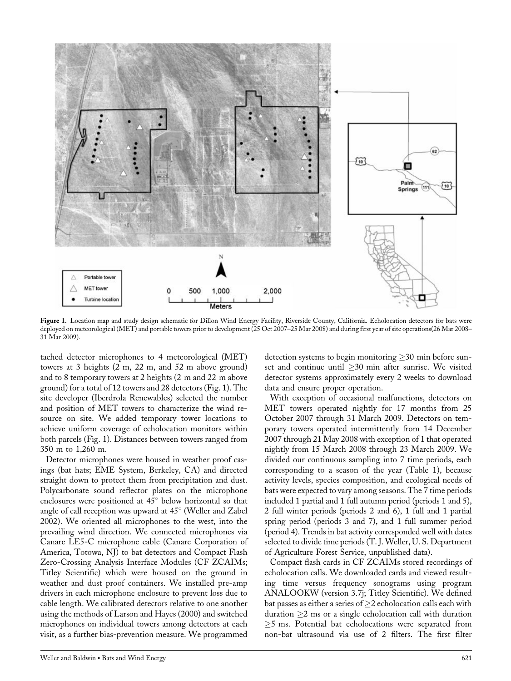

Figure 1. Location map and study design schematic for Dillon Wind Energy Facility, Riverside County, California. Echolocation detectors for bats were deployed on meteorological (MET) and portable towers prior to development (25 Oct 2007–25 Mar 2008) and during first year of site operations(26 Mar 2008– 31 Mar 2009).

tached detector microphones to 4 meteorological (MET) towers at 3 heights (2 m, 22 m, and 52 m above ground) and to 8 temporary towers at 2 heights (2 m and 22 m above ground) for a total of 12 towers and 28 detectors (Fig. 1). The site developer (Iberdrola Renewables) selected the number and position of MET towers to characterize the wind resource on site. We added temporary tower locations to achieve uniform coverage of echolocation monitors within both parcels (Fig. 1). Distances between towers ranged from 350 m to 1,260 m.

Detector microphones were housed in weather proof casings (bat hats; EME System, Berkeley, CA) and directed straight down to protect them from precipitation and dust. Polycarbonate sound reflector plates on the microphone enclosures were positioned at  $45^{\circ}$  below horizontal so that angle of call reception was upward at  $45^{\circ}$  (Weller and Zabel 2002). We oriented all microphones to the west, into the prevailing wind direction. We connected microphones via Canare LE5-C microphone cable (Canare Corporation of America, Totowa, NJ) to bat detectors and Compact Flash Zero-Crossing Analysis Interface Modules (CF ZCAIMs; Titley Scientific) which were housed on the ground in weather and dust proof containers. We installed pre-amp drivers in each microphone enclosure to prevent loss due to cable length. We calibrated detectors relative to one another using the methods of Larson and Hayes (2000) and switched microphones on individual towers among detectors at each visit, as a further bias-prevention measure. We programmed

detection systems to begin monitoring  $\geq 30$  min before sunset and continue until  $\geq$ 30 min after sunrise. We visited detector systems approximately every 2 weeks to download data and ensure proper operation.

With exception of occasional malfunctions, detectors on MET towers operated nightly for 17 months from 25 October 2007 through 31 March 2009. Detectors on temporary towers operated intermittently from 14 December 2007 through 21 May 2008 with exception of 1 that operated nightly from 15 March 2008 through 23 March 2009. We divided our continuous sampling into 7 time periods, each corresponding to a season of the year (Table 1), because activity levels, species composition, and ecological needs of bats were expected to vary among seasons. The 7 time periods included 1 partial and 1 full autumn period (periods 1 and 5), 2 full winter periods (periods 2 and 6), 1 full and 1 partial spring period (periods 3 and 7), and 1 full summer period (period 4). Trends in bat activity corresponded well with dates selected to divide time periods (T. J. Weller, U. S. Department of Agriculture Forest Service, unpublished data).

Compact flash cards in CF ZCAIMs stored recordings of echolocation calls. We downloaded cards and viewed resulting time versus frequency sonograms using program ANALOOKW (version 3.7j; Titley Scientific). We defined bat passes as either a series of  $\geq$  2 echolocation calls each with duration  $\geq$  ms or a single echolocation call with duration 5 ms. Potential bat echolocations were separated from non-bat ultrasound via use of 2 filters. The first filter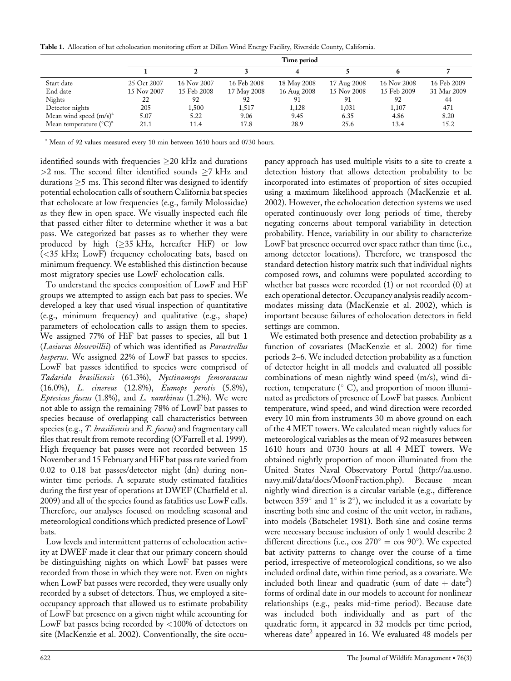Table 1. Allocation of bat echolocation monitoring effort at Dillon Wind Energy Facility, Riverside County, California.

|                                      | Time period |             |             |             |             |             |             |
|--------------------------------------|-------------|-------------|-------------|-------------|-------------|-------------|-------------|
|                                      |             |             |             |             |             |             |             |
| Start date                           | 25 Oct 2007 | 16 Nov 2007 | 16 Feb 2008 | 18 May 2008 | 17 Aug 2008 | 16 Nov 2008 | 16 Feb 2009 |
| End date                             | 15 Nov 2007 | 15 Feb 2008 | 17 May 2008 | 16 Aug 2008 | 15 Nov 2008 | 15 Feb 2009 | 31 Mar 2009 |
| Nights                               | 22          | 92          | 92          | 91          | 91          | 92          | 44          |
| Detector nights                      | 205         | 1,500       | 1,517       | 1,128       | 1,031       | 1,107       | 471         |
| Mean wind speed $(m/s)^a$            | 5.07        | 5.22        | 9.06        | 9.45        | 6.35        | 4.86        | 8.20        |
| Mean temperature $({}^{\circ}C)^{a}$ | 21.1        | 11.4        | 17.8        | 28.9        | 25.6        | 13.4        | 15.2        |

<sup>a</sup> Mean of 92 values measured every 10 min between 1610 hours and 0730 hours.

identified sounds with frequencies  $\geq$ 20 kHz and durations  $>$ 2 ms. The second filter identified sounds  $\geq$ 7 kHz and durations  $\geq$ 5 ms. This second filter was designed to identify potential echolocation calls of southern California bat species that echolocate at low frequencies (e.g., family Molossidae) as they flew in open space. We visually inspected each file that passed either filter to determine whether it was a bat pass. We categorized bat passes as to whether they were produced by high  $(235 \text{ kHz}, \text{ hereafter} \text{ HiF})$  or low (<35 kHz; LowF) frequency echolocating bats, based on minimum frequency. We established this distinction because most migratory species use LowF echolocation calls.

To understand the species composition of LowF and HiF groups we attempted to assign each bat pass to species. We developed a key that used visual inspection of quantitative (e.g., minimum frequency) and qualitative (e.g., shape) parameters of echolocation calls to assign them to species. We assigned 77% of HiF bat passes to species, all but 1 (Lasiurus blossevillii) of which was identified as Parastrellus hesperus. We assigned 22% of LowF bat passes to species. LowF bat passes identified to species were comprised of Tadarida brasiliensis (61.3%), Nyctinomops femorosaccus (16.0%), L. cinereus (12.8%), Eumops perotis (5.8%), Eptesicus fuscus  $(1.8\%)$ , and L. xanthinus  $(1.2\%)$ . We were not able to assign the remaining 78% of LowF bat passes to species because of overlapping call characteristics between species (e.g.,  $T$ . brasiliensis and  $E$ . fuscus) and fragmentary call files that result from remote recording (O'Farrell et al. 1999). High frequency bat passes were not recorded between 15 November and 15 February and HiF bat pass rate varied from 0.02 to 0.18 bat passes/detector night (dn) during nonwinter time periods. A separate study estimated fatalities during the first year of operations at DWEF (Chatfield et al. 2009) and all of the species found as fatalities use LowF calls. Therefore, our analyses focused on modeling seasonal and meteorological conditions which predicted presence of LowF bats.

Low levels and intermittent patterns of echolocation activity at DWEF made it clear that our primary concern should be distinguishing nights on which LowF bat passes were recorded from those in which they were not. Even on nights when LowF bat passes were recorded, they were usually only recorded by a subset of detectors. Thus, we employed a siteoccupancy approach that allowed us to estimate probability of LowF bat presence on a given night while accounting for LowF bat passes being recorded by <100% of detectors on site (MacKenzie et al. 2002). Conventionally, the site occu-

pancy approach has used multiple visits to a site to create a detection history that allows detection probability to be incorporated into estimates of proportion of sites occupied using a maximum likelihood approach (MacKenzie et al. 2002). However, the echolocation detection systems we used operated continuously over long periods of time, thereby negating concerns about temporal variability in detection probability. Hence, variability in our ability to characterize LowF bat presence occurred over space rather than time (i.e., among detector locations). Therefore, we transposed the standard detection history matrix such that individual nights composed rows, and columns were populated according to whether bat passes were recorded (1) or not recorded (0) at each operational detector. Occupancy analysis readily accommodates missing data (MacKenzie et al. 2002), which is important because failures of echolocation detectors in field settings are common.

We estimated both presence and detection probability as a function of covariates (MacKenzie et al. 2002) for time periods 2–6. We included detection probability as a function of detector height in all models and evaluated all possible combinations of mean nightly wind speed (m/s), wind direction, temperature  $(^\circ \text{ C})$ , and proportion of moon illuminated as predictors of presence of LowF bat passes. Ambient temperature, wind speed, and wind direction were recorded every 10 min from instruments 30 m above ground on each of the 4 MET towers. We calculated mean nightly values for meteorological variables as the mean of 92 measures between 1610 hours and 0730 hours at all 4 MET towers. We obtained nightly proportion of moon illuminated from the United States Naval Observatory Portal (http://aa.usno. navy.mil/data/docs/MoonFraction.php). Because mean nightly wind direction is a circular variable (e.g., difference between 359 $^{\circ}$  and 1 $^{\circ}$  is 2 $^{\circ}$ ), we included it as a covariate by inserting both sine and cosine of the unit vector, in radians, into models (Batschelet 1981). Both sine and cosine terms were necessary because inclusion of only 1 would describe 2 different directions (i.e., cos  $270^{\circ} = \cos 90^{\circ}$ ). We expected bat activity patterns to change over the course of a time period, irrespective of meteorological conditions, so we also included ordinal date, within time period, as a covariate. We included both linear and quadratic (sum of date  $+$  date<sup>2</sup>) forms of ordinal date in our models to account for nonlinear relationships (e.g., peaks mid-time period). Because date was included both individually and as part of the quadratic form, it appeared in 32 models per time period, whereas date<sup>2</sup> appeared in 16. We evaluated 48 models per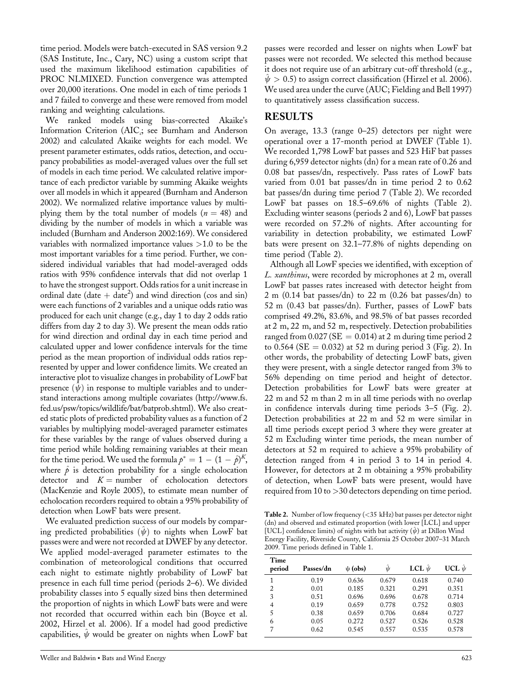time period. Models were batch-executed in SAS version 9.2 (SAS Institute, Inc., Cary, NC) using a custom script that used the maximum likelihood estimation capabilities of PROC NLMIXED. Function convergence was attempted over 20,000 iterations. One model in each of time periods 1 and 7 failed to converge and these were removed from model ranking and weighting calculations.

We ranked models using bias-corrected Akaike's Information Criterion ( $AIC<sub>c</sub>$ ; see Burnham and Anderson 2002) and calculated Akaike weights for each model. We present parameter estimates, odds ratios, detection, and occupancy probabilities as model-averaged values over the full set of models in each time period. We calculated relative importance of each predictor variable by summing Akaike weights over all models in which it appeared (Burnham and Anderson 2002). We normalized relative importance values by multiplying them by the total number of models  $(n = 48)$  and dividing by the number of models in which a variable was included (Burnham and Anderson 2002:169). We considered variables with normalized importance values >1.0 to be the most important variables for a time period. Further, we considered individual variables that had model-averaged odds ratios with 95% confidence intervals that did not overlap 1 to have the strongest support. Odds ratios for a unit increase in ordinal date  $(data + date^2)$  and wind direction (cos and sin) were each functions of 2 variables and a unique odds ratio was produced for each unit change (e.g., day 1 to day 2 odds ratio differs from day 2 to day 3). We present the mean odds ratio for wind direction and ordinal day in each time period and calculated upper and lower confidence intervals for the time period as the mean proportion of individual odds ratios represented by upper and lower confidence limits. We created an interactive plot to visualize changes in probability of LowF bat presence  $(\psi)$  in response to multiple variables and to understand interactions among multiple covariates (http://www.fs. fed.us/psw/topics/wildlife/bat/batprob.shtml). We also created static plots of predicted probability values as a function of 2 variables by multiplying model-averaged parameter estimates for these variables by the range of values observed during a time period while holding remaining variables at their mean for the time period. We used the formula  $p^* = 1 - (1 - \hat{p})^K$ , where  $\hat{p}$  is detection probability for a single echolocation detector and  $K =$  number of echolocation detectors (MacKenzie and Royle 2005), to estimate mean number of echolocation recorders required to obtain a 95% probability of detection when LowF bats were present.

We evaluated prediction success of our models by comparing predicted probabilities  $(\psi)$  to nights when LowF bat passes were and were not recorded at DWEF by any detector. We applied model-averaged parameter estimates to the combination of meteorological conditions that occurred each night to estimate nightly probability of LowF bat presence in each full time period (periods 2–6). We divided probability classes into 5 equally sized bins then determined the proportion of nights in which LowF bats were and were not recorded that occurred within each bin (Boyce et al. 2002, Hirzel et al. 2006). If a model had good predictive capabilities,  $\hat{\psi}$  would be greater on nights when LowF bat

passes were recorded and lesser on nights when LowF bat passes were not recorded. We selected this method because it does not require use of an arbitrary cut-off threshold (e.g.,  $\hat{\psi} > 0.5$ ) to assign correct classification (Hirzel et al. 2006). We used area under the curve (AUC; Fielding and Bell 1997) to quantitatively assess classification success.

## RESULTS

On average, 13.3 (range 0–25) detectors per night were operational over a 17-month period at DWEF (Table 1). We recorded 1,798 LowF bat passes and 523 HiF bat passes during 6,959 detector nights (dn) for a mean rate of 0.26 and 0.08 bat passes/dn, respectively. Pass rates of LowF bats varied from 0.01 bat passes/dn in time period 2 to 0.62 bat passes/dn during time period 7 (Table 2). We recorded LowF bat passes on 18.5–69.6% of nights (Table 2). Excluding winter seasons (periods 2 and 6), LowF bat passes were recorded on 57.2% of nights. After accounting for variability in detection probability, we estimated LowF bats were present on 32.1–77.8% of nights depending on time period (Table 2).

Although all LowF species we identified, with exception of L. xanthinus, were recorded by microphones at 2 m, overall LowF bat passes rates increased with detector height from 2 m (0.14 bat passes/dn) to 22 m (0.26 bat passes/dn) to 52 m (0.43 bat passes/dn). Further, passes of LowF bats comprised 49.2%, 83.6%, and 98.5% of bat passes recorded at 2 m, 22 m, and 52 m, respectively. Detection probabilities ranged from  $0.027$  (SE = 0.014) at 2 m during time period 2 to 0.564 ( $SE = 0.032$ ) at 52 m during period 3 (Fig. 2). In other words, the probability of detecting LowF bats, given they were present, with a single detector ranged from 3% to 56% depending on time period and height of detector. Detection probabilities for LowF bats were greater at 22 m and 52 m than 2 m in all time periods with no overlap in confidence intervals during time periods 3–5 (Fig. 2). Detection probabilities at 22 m and 52 m were similar in all time periods except period 3 where they were greater at 52 m Excluding winter time periods, the mean number of detectors at 52 m required to achieve a 95% probability of detection ranged from 4 in period 3 to 14 in period 4. However, for detectors at 2 m obtaining a 95% probability of detection, when LowF bats were present, would have required from 10 to >30 detectors depending on time period.

Table 2. Number of low frequency (<35 kHz) bat passes per detector night (dn) and observed and estimated proportion (with lower [LCL] and upper [UCL] confidence limits) of nights with bat activity  $(\hat{\psi})$  at Dillon Wind Energy Facility, Riverside County, California 25 October 2007–31 March 2009. Time periods defined in Table 1.

| Time<br>period | Passes/dn | $\psi$ (obs) | $\ddot{\psi}$ | LCL $\hat{\psi}$ | UCL $\hat{\psi}$ |
|----------------|-----------|--------------|---------------|------------------|------------------|
| 1              | 0.19      | 0.636        | 0.679         | 0.618            | 0.740            |
| 2              | 0.01      | 0.185        | 0.321         | 0.291            | 0.351            |
| 3              | 0.51      | 0.696        | 0.696         | 0.678            | 0.714            |
| 4              | 0.19      | 0.659        | 0.778         | 0.752            | 0.803            |
| 5              | 0.38      | 0.659        | 0.706         | 0.684            | 0.727            |
| 6              | 0.05      | 0.272        | 0.527         | 0.526            | 0.528            |
| 7              | 0.62      | 0.545        | 0.557         | 0.535            | 0.578            |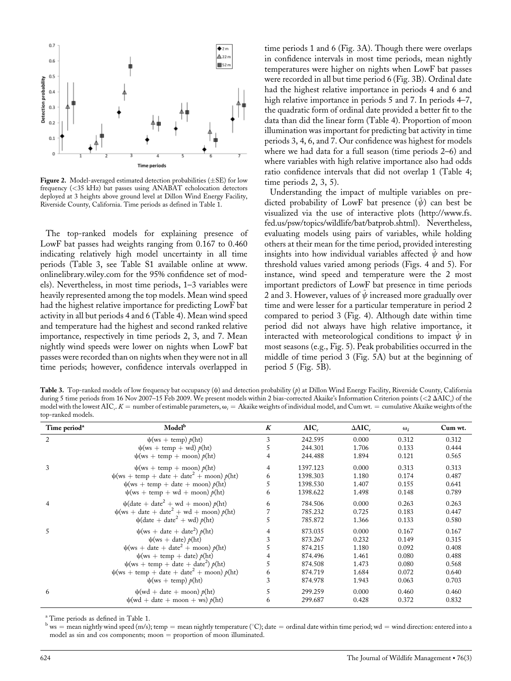

Figure 2. Model-averaged estimated detection probabilities  $(\pm SE)$  for low frequency (<35 kHz) bat passes using ANABAT echolocation detectors deployed at 3 heights above ground level at Dillon Wind Energy Facility, Riverside County, California. Time periods as defined in Table 1.

The top-ranked models for explaining presence of LowF bat passes had weights ranging from 0.167 to 0.460 indicating relatively high model uncertainty in all time periods (Table 3, see Table S1 available online at www. onlinelibrary.wiley.com for the 95% confidence set of models). Nevertheless, in most time periods, 1–3 variables were heavily represented among the top models. Mean wind speed had the highest relative importance for predicting LowF bat activity in all but periods 4 and 6 (Table 4). Mean wind speed and temperature had the highest and second ranked relative importance, respectively in time periods 2, 3, and 7. Mean nightly wind speeds were lower on nights when LowF bat passes were recorded than on nights when they were not in all time periods; however, confidence intervals overlapped in

time periods 1 and 6 (Fig. 3A). Though there were overlaps in confidence intervals in most time periods, mean nightly temperatures were higher on nights when LowF bat passes were recorded in all but time period 6 (Fig. 3B). Ordinal date had the highest relative importance in periods 4 and 6 and high relative importance in periods 5 and 7. In periods 4–7, the quadratic form of ordinal date provided a better fit to the data than did the linear form (Table 4). Proportion of moon illumination was important for predicting bat activity in time periods 3, 4, 6, and 7. Our confidence was highest for models where we had data for a full season (time periods 2–6) and where variables with high relative importance also had odds ratio confidence intervals that did not overlap 1 (Table 4; time periods 2, 3, 5).

Understanding the impact of multiple variables on predicted probability of LowF bat presence  $(\hat{\psi})$  can best be visualized via the use of interactive plots (http://www.fs. fed.us/psw/topics/wildlife/bat/batprob.shtml). Nevertheless, evaluating models using pairs of variables, while holding others at their mean for the time period, provided interesting insights into how individual variables affected  $\hat{\psi}$  and how threshold values varied among periods (Figs. 4 and 5). For instance, wind speed and temperature were the 2 most important predictors of LowF bat presence in time periods 2 and 3. However, values of  $\psi$  increased more gradually over time and were lesser for a particular temperature in period 2 compared to period 3 (Fig. 4). Although date within time period did not always have high relative importance, it interacted with meteorological conditions to impact  $\dot{\psi}$  in most seasons (e.g., Fig. 5). Peak probabilities occurred in the middle of time period 3 (Fig. 5A) but at the beginning of period 5 (Fig. 5B).

Table 3. Top-ranked models of low frequency bat occupancy ( $\psi$ ) and detection probability (p) at Dillon Wind Energy Facility, Riverside County, California during 5 time periods from 16 Nov 2007–15 Feb 2009. We present models within 2 bias-corrected Akaike's Information Criterion points (<2  $\Delta AIC_c$ ) of the model with the lowest AIC<sub>c</sub>.  $K =$  number of estimable parameters,  $\omega_i =$  Akaike weights of individual model, and Cum wt. = cumulative Akaike weights of the top-ranked models.

| Time period <sup>a</sup> | Model <sup>b</sup>                                            | K | $AIC_c$  | $\triangle AIC_c$ | $\omega_i$ | Cum wt. |
|--------------------------|---------------------------------------------------------------|---|----------|-------------------|------------|---------|
| $\overline{c}$           | $\psi$ (ws + temp) $\rho$ (ht)                                | 3 | 242.595  | 0.000             | 0.312      | 0.312   |
|                          | $\psi$ (ws + temp + wd) $\rho$ (ht)                           | 5 | 244.301  | 1.706             | 0.133      | 0.444   |
|                          | $\psi$ (ws + temp + moon) $p$ (ht)                            | 4 | 244.488  | 1.894             | 0.121      | 0.565   |
| 3                        | $\psi$ (ws + temp + moon) $p(ht)$                             | 4 | 1397.123 | 0.000             | 0.313      | 0.313   |
|                          | $\psi$ (ws + temp + date + date <sup>2</sup> + moon) $p$ (ht) | 6 | 1398.303 | 1.180             | 0.174      | 0.487   |
|                          | $\psi$ (ws + temp + date + moon) $p(ht)$                      |   | 1398.530 | 1.407             | 0.155      | 0.641   |
|                          | $\psi$ (ws + temp + wd + moon) $p(ht)$                        | 6 | 1398.622 | 1.498             | 0.148      | 0.789   |
| 4                        | $\psi$ (date + date <sup>2</sup> + wd + moon) $p$ (ht)        | 6 | 784.506  | 0.000             | 0.263      | 0.263   |
|                          | $\psi(ws + date + date^2 + wd + moon) p(ht)$                  |   | 785.232  | 0.725             | 0.183      | 0.447   |
|                          | $\psi$ (date + date <sup>2</sup> + wd) $p$ (ht)               | 5 | 785.872  | 1.366             | 0.133      | 0.580   |
| 5                        | $\psi$ (ws + date + date <sup>2</sup> ) $\rho$ (ht)           | 4 | 873.035  | 0.000             | 0.167      | 0.167   |
|                          | $\psi$ (ws + date) $p$ (ht)                                   |   | 873.267  | 0.232             | 0.149      | 0.315   |
|                          | $\psi$ (ws + date + date <sup>2</sup> + moon) $p$ (ht)        | 5 | 874.215  | 1.180             | 0.092      | 0.408   |
|                          | $\psi$ (ws + temp + date) $\rho$ (ht)                         |   | 874.496  | 1.461             | 0.080      | 0.488   |
|                          | $\psi$ (ws + temp + date + date <sup>2</sup> ) $\rho$ (ht)    | 5 | 874.508  | 1.473             | 0.080      | 0.568   |
|                          | $\psi$ (ws + temp + date + date <sup>2</sup> + moon) $p$ (ht) | 6 | 874.719  | 1.684             | 0.072      | 0.640   |
|                          | $\psi$ (ws + temp) $\rho$ (ht)                                | 3 | 874.978  | 1.943             | 0.063      | 0.703   |
| 6                        | $\psi(\text{wd} + \text{date} + \text{moon}) p(\text{ht})$    | 5 | 299.259  | 0.000             | 0.460      | 0.460   |
|                          | $\psi(wd + date + moon + ws) p(ht)$                           | 6 | 299.687  | 0.428             | 0.372      | 0.832   |

<sup>a</sup> Time periods as defined in Table 1.

 $b$  ws  $=$  mean nightly wind speed (m/s); temp  $=$  mean nightly temperature (°C); date  $=$  ordinal date within time period; wd  $=$  wind direction: entered into a model as sin and cos components; moon  $=$  proportion of moon illuminated.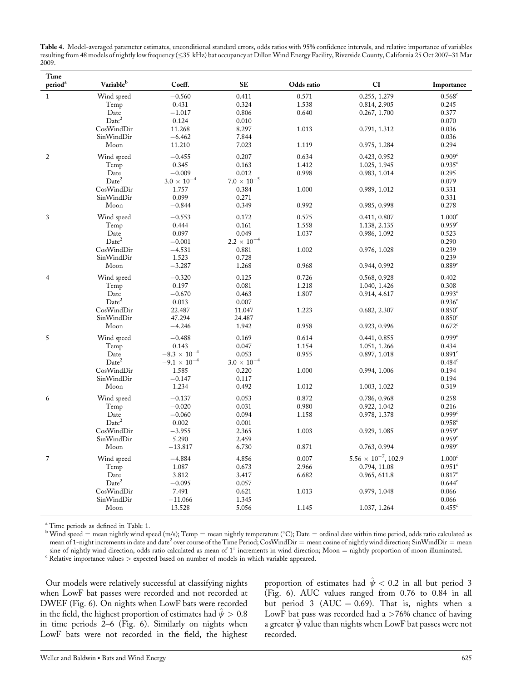|      | Table 4. Model-averaged parameter estimates, unconditional standard errors, odds ratios with 95% confidence intervals, and relative importance of variables |
|------|-------------------------------------------------------------------------------------------------------------------------------------------------------------|
|      | resulting from 48 models of nightly low frequency (<35 kHz) bat occupancy at Dillon Wind Energy Facility, Riverside County, California 25 Oct 2007-31 Mar   |
| 2009 |                                                                                                                                                             |

| Time<br>period <sup>a</sup> | Variable <sup>b</sup> | Coeff.                    | SE                     | Odds ratio | CI                            | Importance           |
|-----------------------------|-----------------------|---------------------------|------------------------|------------|-------------------------------|----------------------|
| $\mathbf{1}$                | Wind speed            | $-0.560$                  | 0.411                  | 0.571      | 0.255, 1.279                  | $0.568$ <sup>c</sup> |
|                             | Temp                  | 0.431                     | 0.324                  | 1.538      | 0.814, 2.905                  | 0.245                |
|                             | Date                  | $-1.017$                  | 0.806                  | 0.640      | 0.267, 1.700                  | 0.377                |
|                             | Date <sup>2</sup>     | 0.124                     | 0.010                  |            |                               | 0.070                |
|                             | CosWindDir            | 11.268                    | 8.297                  | 1.013      | 0.791, 1.312                  | 0.036                |
|                             | SinWindDir            | $-6.462$                  | 7.844                  |            |                               | 0.036                |
|                             | Moon                  | 11.210                    | 7.023                  | 1.119      | 0.975, 1.284                  | 0.294                |
| $\overline{2}$              | Wind speed            | $-0.455$                  | 0.207                  | 0.634      | 0.423, 0.952                  | 0.909 <sup>c</sup>   |
|                             | Temp                  | 0.345                     | 0.163                  | 1.412      | 1.025, 1.945                  | $0.935$ <sup>c</sup> |
|                             | Date                  | $-0.009$                  | 0.012                  | 0.998      | 0.983, 1.014                  | 0.295                |
|                             | Date <sup>2</sup>     | $3.0\,\times\,10^{-4}$    | $7.0\,\times\,10^{-5}$ |            |                               | 0.079                |
|                             | CosWindDir            | 1.757                     | 0.384                  | 1.000      | 0.989, 1.012                  | 0.331                |
|                             | SinWindDir            | 0.099                     | 0.271                  |            |                               | 0.331                |
|                             | Moon                  | $-0.844$                  | 0.349                  | 0.992      | 0.985, 0.998                  | 0.278                |
| 3                           | Wind speed            | $-0.553$                  | 0.172                  | 0.575      | 0.411, 0.807                  | 1.000 <sup>c</sup>   |
|                             | Temp                  | 0.444                     | 0.161                  | 1.558      | 1.138, 2.135                  | $0.959^{\rm c}$      |
|                             | Date                  | 0.097                     | 0.049                  | 1.037      | 0.986, 1.092                  | 0.523                |
|                             | Date <sup>2</sup>     | $-0.001$                  | $2.2\,\times\,10^{-4}$ |            |                               | 0.290                |
|                             | CosWindDir            | $-4.531$                  | 0.881                  | 1.002      | 0.976, 1.028                  | 0.239                |
|                             | SinWindDir            | 1.523                     | 0.728                  |            |                               | 0.239                |
|                             | Moon                  | $-3.287$                  | 1.268                  | 0.968      | 0.944, 0.992                  | 0.889c               |
| $\overline{4}$              | Wind speed            | $-0.320$                  | 0.125                  | 0.726      | 0.568, 0.928                  | 0.402                |
|                             | Temp                  | 0.197                     | 0.081                  | 1.218      | 1.040, 1.426                  | 0.308                |
|                             | Date                  | $-0.670$                  | 0.463                  | 1.807      | 0.914, 4.617                  | 0.993c               |
|                             | Date <sup>2</sup>     | 0.013                     | 0.007                  |            |                               | 0.936 <sup>c</sup>   |
|                             | CosWindDir            | 22.487                    | 11.047                 | 1.223      | 0.682, 2.307                  | 0.850 <sup>c</sup>   |
|                             | SinWindDir            | 47.294                    | 24.487                 |            |                               | 0.850 <sup>c</sup>   |
|                             | Moon                  | $-4.246$                  | 1.942                  | 0.958      | 0.923, 0.996                  | $0.672^{\circ}$      |
| 5                           | Wind speed            | $-0.488$                  | 0.169                  | 0.614      | 0.441, 0.855                  | 0.999c               |
|                             | Temp                  | 0.143                     | 0.047                  | 1.154      | 1.051, 1.266                  | 0.434                |
|                             | Date                  | $-8.3 \times 10^{-4}$     | 0.053                  | 0.955      | 0.897, 1.018                  | 0.891 <sup>c</sup>   |
|                             | Date <sup>2</sup>     | $-9.1$ $\times$ $10^{-4}$ | $3.0\,\times\,10^{-4}$ |            |                               | 0.484 <sup>c</sup>   |
|                             | CosWindDir            | 1.585                     | 0.220                  | 1.000      | 0.994, 1.006                  | 0.194                |
|                             | SinWindDir            | $-0.147$                  | 0.117                  |            |                               | 0.194                |
|                             | Moon                  | 1.234                     | 0.492                  | 1.012      | 1.003, 1.022                  | 0.319                |
| 6                           | Wind speed            | $-0.137$                  | 0.053                  | 0.872      | 0.786, 0.968                  | 0.258                |
|                             | Temp                  | $-0.020$                  | 0.031                  | 0.980      | 0.922, 1.042                  | 0.216                |
|                             | Date                  | $-0.060$                  | 0.094                  | 1.158      | 0.978, 1.378                  | 0.999c               |
|                             | Date <sup>2</sup>     | 0.002                     | 0.001                  |            |                               | 0.958c               |
|                             | CosWindDir            | $-3.955$                  | 2.365                  | 1.003      | 0.929, 1.085                  | 0.959c               |
|                             | SinWindDir            | 5.290                     | 2.459                  |            |                               | 0.959 <sup>c</sup>   |
|                             | Moon                  | $-13.817$                 | 6.730                  | 0.871      | 0.763, 0.994                  | 0.989c               |
| $\overline{7}$              | Wind speed            | $-4.884$                  | 4.856                  | 0.007      | $5.56 \times 10^{-7}$ , 102.9 | 1.000 <sup>c</sup>   |
|                             | Temp                  | 1.087                     | 0.673                  | 2.966      | 0.794, 11.08                  | 0.951c               |
|                             | Date                  | 3.812                     | 3.417                  | 6.682      | 0.965, 611.8                  | 0.817c               |
|                             | Date <sup>2</sup>     | $-0.095$                  | 0.057                  |            |                               | 0.644c               |
|                             | CosWindDir            | 7.491                     | 0.621                  | 1.013      | 0.979, 1.048                  | 0.066                |
|                             | SinWindDir            | $-11.066$                 | 1.345                  |            |                               | 0.066                |
|                             | Moon                  | 13.528                    | 5.056                  | 1.145      | 1.037, 1.264                  | $0.455$ <sup>c</sup> |

<sup>a</sup> Time periods as defined in Table 1.

 $b$  Wind speed = mean nightly wind speed (m/s); Temp = mean nightly temperature (°C); Date = ordinal date within time period, odds ratio calculated as mean of 1-night increments in date and date<sup>2</sup> over course of the Time Period; CosWindDir = mean cosine of nightly wind direction; SinWindDir = mean sine of nightly wind direction, odds ratio calculated as mean of  $1^{\circ}$  increments in wind direction; Moon = nightly proportion of moon illuminated.<br>
"Relative importance values > expected based on number of models in wh

Our models were relatively successful at classifying nights when LowF bat passes were recorded and not recorded at DWEF (Fig. 6). On nights when LowF bats were recorded in the field, the highest proportion of estimates had  $\hat{\psi} > 0.8$ in time periods 2–6 (Fig. 6). Similarly on nights when LowF bats were not recorded in the field, the highest proportion of estimates had  $\hat{\psi} < 0.2$  in all but period 3 (Fig. 6). AUC values ranged from 0.76 to 0.84 in all but period 3 (AUC =  $0.\overline{69}$ ). That is, nights when a LowF bat pass was recorded had a  $>76\%$  chance of having a greater  $\hat{\psi}$  value than nights when LowF bat passes were not recorded.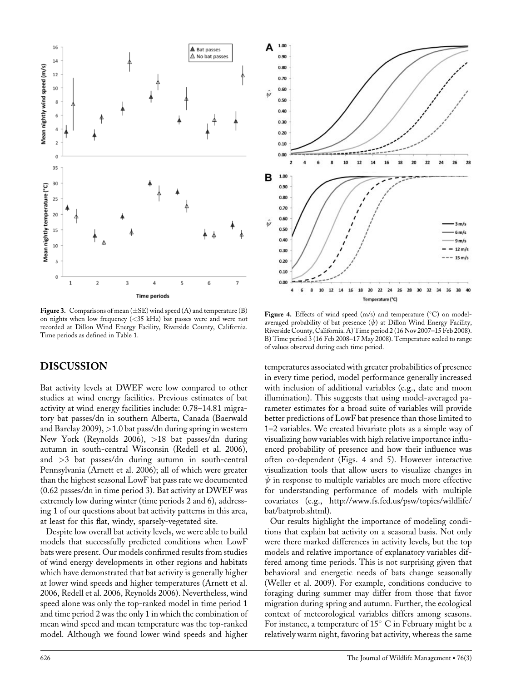

Figure 3. Comparisons of mean  $(\pm SE)$  wind speed (A) and temperature (B) on nights when low frequency (<35 kHz) bat passes were and were not recorded at Dillon Wind Energy Facility, Riverside County, California. Time periods as defined in Table 1.

### DISCUSSION

Bat activity levels at DWEF were low compared to other studies at wind energy facilities. Previous estimates of bat activity at wind energy facilities include: 0.78–14.81 migratory bat passes/dn in southern Alberta, Canada (Baerwald and Barclay 2009), >1.0 bat pass/dn during spring in western New York (Reynolds 2006), >18 bat passes/dn during autumn in south-central Wisconsin (Redell et al. 2006), and >3 bat passes/dn during autumn in south-central Pennsylvania (Arnett et al. 2006); all of which were greater than the highest seasonal LowF bat pass rate we documented (0.62 passes/dn in time period 3). Bat activity at DWEF was extremely low during winter (time periods 2 and 6), addressing 1 of our questions about bat activity patterns in this area, at least for this flat, windy, sparsely-vegetated site.

Despite low overall bat activity levels, we were able to build models that successfully predicted conditions when LowF bats were present. Our models confirmed results from studies of wind energy developments in other regions and habitats which have demonstrated that bat activity is generally higher at lower wind speeds and higher temperatures (Arnett et al. 2006, Redell et al. 2006, Reynolds 2006). Nevertheless, wind speed alone was only the top-ranked model in time period 1 and time period 2 was the only 1 in which the combination of mean wind speed and mean temperature was the top-ranked model. Although we found lower wind speeds and higher



Figure 4. Effects of wind speed (m/s) and temperature ( $\degree$ C) on modelaveraged probability of bat presence  $(\hat{\psi})$  at Dillon Wind Energy Facility, Riverside County, California. A) Time period 2 (16 Nov 2007–15 Feb 2008). B) Time period 3 (16 Feb 2008–17 May 2008). Temperature scaled to range of values observed during each time period.

temperatures associated with greater probabilities of presence in every time period, model performance generally increased with inclusion of additional variables (e.g., date and moon illumination). This suggests that using model-averaged parameter estimates for a broad suite of variables will provide better predictions of LowF bat presence than those limited to 1–2 variables. We created bivariate plots as a simple way of visualizing how variables with high relative importance influenced probability of presence and how their influence was often co-dependent (Figs. 4 and 5). However interactive visualization tools that allow users to visualize changes in  $\hat{\psi}$  in response to multiple variables are much more effective for understanding performance of models with multiple covariates (e.g., http://www.fs.fed.us/psw/topics/wildlife/ bat/batprob.shtml).

Our results highlight the importance of modeling conditions that explain bat activity on a seasonal basis. Not only were there marked differences in activity levels, but the top models and relative importance of explanatory variables differed among time periods. This is not surprising given that behavioral and energetic needs of bats change seasonally (Weller et al. 2009). For example, conditions conducive to foraging during summer may differ from those that favor migration during spring and autumn. Further, the ecological context of meteorological variables differs among seasons. For instance, a temperature of  $15^{\circ}$  C in February might be a relatively warm night, favoring bat activity, whereas the same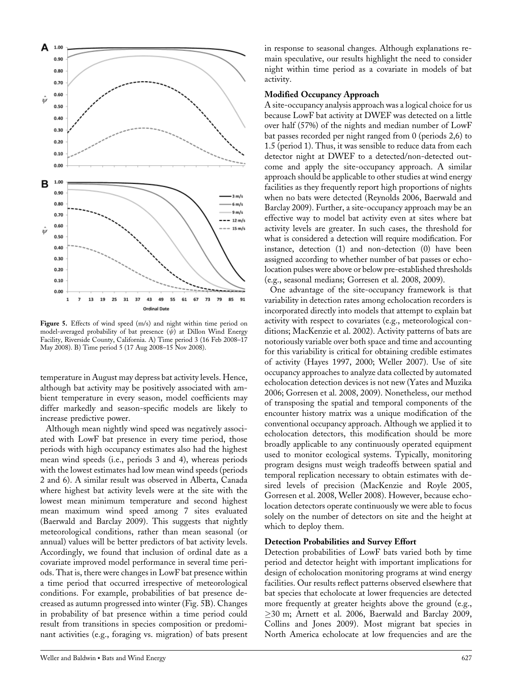

Figure 5. Effects of wind speed (m/s) and night within time period on model-averaged probability of bat presence  $(\hat{\psi})$  at Dillon Wind Energy Facility, Riverside County, California. A) Time period 3 (16 Feb 2008–17 May 2008). B) Time period 5 (17 Aug 2008–15 Nov 2008).

temperature in August may depress bat activity levels. Hence, although bat activity may be positively associated with ambient temperature in every season, model coefficients may differ markedly and season-specific models are likely to increase predictive power.

Although mean nightly wind speed was negatively associated with LowF bat presence in every time period, those periods with high occupancy estimates also had the highest mean wind speeds (i.e., periods 3 and 4), whereas periods with the lowest estimates had low mean wind speeds (periods 2 and 6). A similar result was observed in Alberta, Canada where highest bat activity levels were at the site with the lowest mean minimum temperature and second highest mean maximum wind speed among 7 sites evaluated (Baerwald and Barclay 2009). This suggests that nightly meteorological conditions, rather than mean seasonal (or annual) values will be better predictors of bat activity levels. Accordingly, we found that inclusion of ordinal date as a covariate improved model performance in several time periods. That is, there were changes in LowF bat presence within a time period that occurred irrespective of meteorological conditions. For example, probabilities of bat presence decreased as autumn progressed into winter (Fig. 5B). Changes in probability of bat presence within a time period could result from transitions in species composition or predominant activities (e.g., foraging vs. migration) of bats present in response to seasonal changes. Although explanations remain speculative, our results highlight the need to consider night within time period as a covariate in models of bat activity.

#### Modified Occupancy Approach

A site-occupancy analysis approach was a logical choice for us because LowF bat activity at DWEF was detected on a little over half (57%) of the nights and median number of LowF bat passes recorded per night ranged from 0 (periods 2,6) to 1.5 (period 1). Thus, it was sensible to reduce data from each detector night at DWEF to a detected/non-detected outcome and apply the site-occupancy approach. A similar approach should be applicable to other studies at wind energy facilities as they frequently report high proportions of nights when no bats were detected (Reynolds 2006, Baerwald and Barclay 2009). Further, a site-occupancy approach may be an effective way to model bat activity even at sites where bat activity levels are greater. In such cases, the threshold for what is considered a detection will require modification. For instance, detection (1) and non-detection (0) have been assigned according to whether number of bat passes or echolocation pulses were above or below pre-established thresholds (e.g., seasonal medians; Gorresen et al. 2008, 2009).

One advantage of the site-occupancy framework is that variability in detection rates among echolocation recorders is incorporated directly into models that attempt to explain bat activity with respect to covariates (e.g., meteorological conditions; MacKenzie et al. 2002). Activity patterns of bats are notoriously variable over both space and time and accounting for this variability is critical for obtaining credible estimates of activity (Hayes 1997, 2000; Weller 2007). Use of site occupancy approaches to analyze data collected by automated echolocation detection devices is not new (Yates and Muzika 2006; Gorresen et al. 2008, 2009). Nonetheless, our method of transposing the spatial and temporal components of the encounter history matrix was a unique modification of the conventional occupancy approach. Although we applied it to echolocation detectors, this modification should be more broadly applicable to any continuously operated equipment used to monitor ecological systems. Typically, monitoring program designs must weigh tradeoffs between spatial and temporal replication necessary to obtain estimates with desired levels of precision (MacKenzie and Royle 2005, Gorresen et al. 2008, Weller 2008). However, because echolocation detectors operate continuously we were able to focus solely on the number of detectors on site and the height at which to deploy them.

#### Detection Probabilities and Survey Effort

Detection probabilities of LowF bats varied both by time period and detector height with important implications for design of echolocation monitoring programs at wind energy facilities. Our results reflect patterns observed elsewhere that bat species that echolocate at lower frequencies are detected more frequently at greater heights above the ground (e.g.,  $\geq$ 30 m; Arnett et al. 2006, Baerwald and Barclay 2009, Collins and Jones 2009). Most migrant bat species in North America echolocate at low frequencies and are the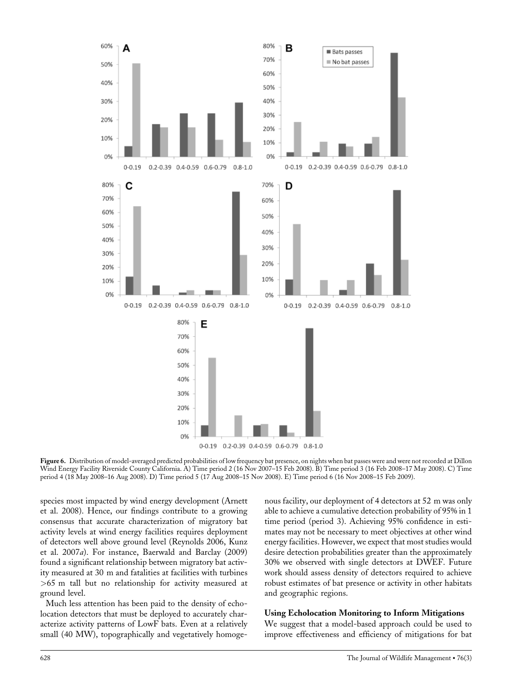

Figure 6. Distribution of model-averaged predicted probabilities of low frequency bat presence, on nights when bat passes were and were not recorded at Dillon Wind Energy Facility Riverside County California. A) Time period 2 (16 Nov 2007–15 Feb 2008). B) Time period 3 (16 Feb 2008–17 May 2008). C) Time period 4 (18 May 2008–16 Aug 2008). D) Time period 5 (17 Aug 2008–15 Nov 2008). E) Time period 6 (16 Nov 2008–15 Feb 2009).

species most impacted by wind energy development (Arnett et al. 2008). Hence, our findings contribute to a growing consensus that accurate characterization of migratory bat activity levels at wind energy facilities requires deployment of detectors well above ground level (Reynolds 2006, Kunz et al. 2007a). For instance, Baerwald and Barclay (2009) found a significant relationship between migratory bat activity measured at 30 m and fatalities at facilities with turbines >65 m tall but no relationship for activity measured at ground level.

Much less attention has been paid to the density of echolocation detectors that must be deployed to accurately characterize activity patterns of LowF bats. Even at a relatively small (40 MW), topographically and vegetatively homogenous facility, our deployment of 4 detectors at 52 m was only able to achieve a cumulative detection probability of 95% in 1 time period (period 3). Achieving 95% confidence in estimates may not be necessary to meet objectives at other wind energy facilities. However, we expect that most studies would desire detection probabilities greater than the approximately 30% we observed with single detectors at DWEF. Future work should assess density of detectors required to achieve robust estimates of bat presence or activity in other habitats and geographic regions.

#### Using Echolocation Monitoring to Inform Mitigations

We suggest that a model-based approach could be used to improve effectiveness and efficiency of mitigations for bat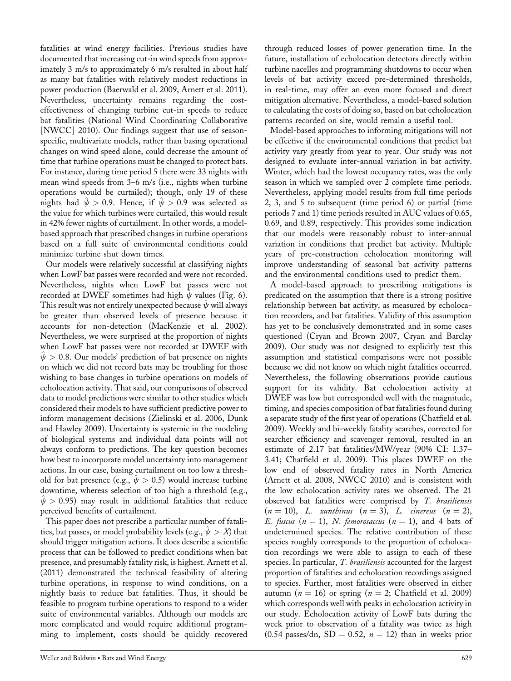fatalities at wind energy facilities. Previous studies have documented that increasing cut-in wind speeds from approximately 3 m/s to approximately 6 m/s resulted in about half as many bat fatalities with relatively modest reductions in power production (Baerwald et al. 2009, Arnett et al. 2011). Nevertheless, uncertainty remains regarding the costeffectiveness of changing turbine cut-in speeds to reduce bat fatalities (National Wind Coordinating Collaborative [NWCC] 2010). Our findings suggest that use of seasonspecific, multivariate models, rather than basing operational changes on wind speed alone, could decrease the amount of time that turbine operations must be changed to protect bats. For instance, during time period 5 there were 33 nights with mean wind speeds from 3–6 m/s (i.e., nights when turbine operations would be curtailed); though, only 19 of these nights had  $\hat{\psi} > 0.9$ . Hence, if  $\hat{\psi} > 0.9$  was selected as the value for which turbines were curtailed, this would result in 42% fewer nights of curtailment. In other words, a modelbased approach that prescribed changes in turbine operations based on a full suite of environmental conditions could minimize turbine shut down times.

Our models were relatively successful at classifying nights when LowF bat passes were recorded and were not recorded. Nevertheless, nights when LowF bat passes were not recorded at DWEF sometimes had high  $\hat{\psi}$  values (Fig. 6). This result was not entirely unexpected because  $\psi$  will always be greater than observed levels of presence because it accounts for non-detection (MacKenzie et al. 2002). Nevertheless, we were surprised at the proportion of nights when LowF bat passes were not recorded at DWEF with  $\dot{\psi} > 0.8$ . Our models' prediction of bat presence on nights on which we did not record bats may be troubling for those wishing to base changes in turbine operations on models of echolocation activity. That said, our comparisons of observed data to model predictions were similar to other studies which considered their models to have sufficient predictive power to inform management decisions (Zielinski et al. 2006, Dunk and Hawley 2009). Uncertainty is systemic in the modeling of biological systems and individual data points will not always conform to predictions. The key question becomes how best to incorporate model uncertainty into management actions. In our case, basing curtailment on too low a threshold for bat presence (e.g.,  $\hat{\psi} > 0.5$ ) would increase turbine downtime, whereas selection of too high a threshold (e.g.,  $\dot{\psi} > 0.95$ ) may result in additional fatalities that reduce perceived benefits of curtailment.

This paper does not prescribe a particular number of fatalities, bat passes, or model probability levels (e.g.,  $\dot{\psi} > X$ ) that should trigger mitigation actions. It does describe a scientific process that can be followed to predict conditions when bat presence, and presumably fatality risk, is highest. Arnett et al. (2011) demonstrated the technical feasibility of altering turbine operations, in response to wind conditions, on a nightly basis to reduce bat fatalities. Thus, it should be feasible to program turbine operations to respond to a wider suite of environmental variables. Although our models are more complicated and would require additional programming to implement, costs should be quickly recovered

through reduced losses of power generation time. In the future, installation of echolocation detectors directly within turbine nacelles and programming shutdowns to occur when levels of bat activity exceed pre-determined thresholds, in real-time, may offer an even more focused and direct mitigation alternative. Nevertheless, a model-based solution to calculating the costs of doing so, based on bat echolocation patterns recorded on site, would remain a useful tool.

Model-based approaches to informing mitigations will not be effective if the environmental conditions that predict bat activity vary greatly from year to year. Our study was not designed to evaluate inter-annual variation in bat activity. Winter, which had the lowest occupancy rates, was the only season in which we sampled over 2 complete time periods. Nevertheless, applying model results from full time periods 2, 3, and 5 to subsequent (time period 6) or partial (time periods 7 and 1) time periods resulted in AUC values of 0.65, 0.69, and 0.89, respectively. This provides some indication that our models were reasonably robust to inter-annual variation in conditions that predict bat activity. Multiple years of pre-construction echolocation monitoring will improve understanding of seasonal bat activity patterns and the environmental conditions used to predict them.

A model-based approach to prescribing mitigations is predicated on the assumption that there is a strong positive relationship between bat activity, as measured by echolocation recorders, and bat fatalities. Validity of this assumption has yet to be conclusively demonstrated and in some cases questioned (Cryan and Brown 2007, Cryan and Barclay 2009). Our study was not designed to explicitly test this assumption and statistical comparisons were not possible because we did not know on which night fatalities occurred. Nevertheless, the following observations provide cautious support for its validity. Bat echolocation activity at DWEF was low but corresponded well with the magnitude, timing, and species composition of bat fatalities found during a separate study of the first year of operations (Chatfield et al. 2009). Weekly and bi-weekly fatality searches, corrected for searcher efficiency and scavenger removal, resulted in an estimate of 2.17 bat fatalities/MW/year (90% CI: 1.37– 3.41; Chatfield et al. 2009). This places DWEF on the low end of observed fatality rates in North America (Arnett et al. 2008, NWCC 2010) and is consistent with the low echolocation activity rates we observed. The 21 observed bat fatalities were comprised by T. brasiliensis  $(n = 10)$ , L. xanthinus  $(n = 3)$ , L. cinereus  $(n = 2)$ , E. fuscus ( $n = 1$ ), N. femorosaccus ( $n = 1$ ), and 4 bats of undetermined species. The relative contribution of these species roughly corresponds to the proportion of echolocation recordings we were able to assign to each of these species. In particular, T. brasiliensis accounted for the largest proportion of fatalities and echolocation recordings assigned to species. Further, most fatalities were observed in either autumn ( $n = 16$ ) or spring ( $n = 2$ ; Chatfield et al. 2009) which corresponds well with peaks in echolocation activity in our study. Echolocation activity of LowF bats during the week prior to observation of a fatality was twice as high (0.54 passes/dn, SD = 0.52,  $n = 12$ ) than in weeks prior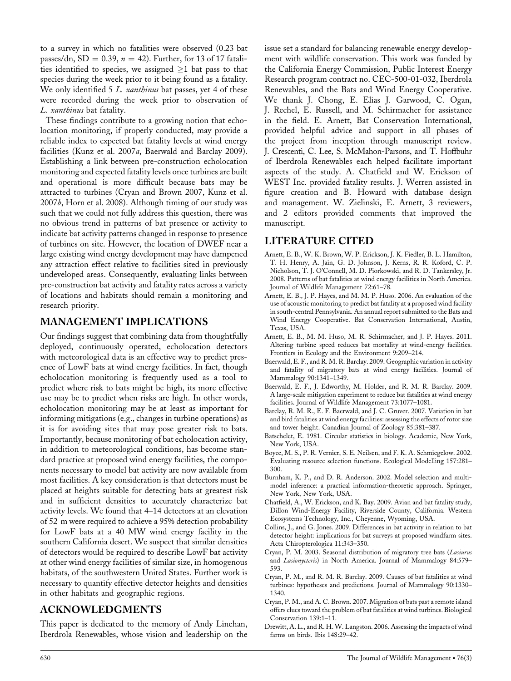to a survey in which no fatalities were observed (0.23 bat passes/dn,  $SD = 0.39$ ,  $n = 42$ ). Further, for 13 of 17 fatalities identified to species, we assigned  $\geq 1$  bat pass to that species during the week prior to it being found as a fatality. We only identified 5 L. xanthinus bat passes, yet 4 of these were recorded during the week prior to observation of L. xanthinus bat fatality.

These findings contribute to a growing notion that echolocation monitoring, if properly conducted, may provide a reliable index to expected bat fatality levels at wind energy facilities (Kunz et al. 2007a, Baerwald and Barclay 2009). Establishing a link between pre-construction echolocation monitoring and expected fatality levels once turbines are built and operational is more difficult because bats may be attracted to turbines (Cryan and Brown 2007, Kunz et al. 2007b, Horn et al. 2008). Although timing of our study was such that we could not fully address this question, there was no obvious trend in patterns of bat presence or activity to indicate bat activity patterns changed in response to presence of turbines on site. However, the location of DWEF near a large existing wind energy development may have dampened any attraction effect relative to facilities sited in previously undeveloped areas. Consequently, evaluating links between pre-construction bat activity and fatality rates across a variety of locations and habitats should remain a monitoring and research priority.

# MANAGEMENT IMPLICATIONS

Our findings suggest that combining data from thoughtfully deployed, continuously operated, echolocation detectors with meteorological data is an effective way to predict presence of LowF bats at wind energy facilities. In fact, though echolocation monitoring is frequently used as a tool to predict where risk to bats might be high, its more effective use may be to predict when risks are high. In other words, echolocation monitoring may be at least as important for informing mitigations (e.g., changes in turbine operations) as it is for avoiding sites that may pose greater risk to bats. Importantly, because monitoring of bat echolocation activity, in addition to meteorological conditions, has become standard practice at proposed wind energy facilities, the components necessary to model bat activity are now available from most facilities. A key consideration is that detectors must be placed at heights suitable for detecting bats at greatest risk and in sufficient densities to accurately characterize bat activity levels. We found that 4–14 detectors at an elevation of 52 m were required to achieve a 95% detection probability for LowF bats at a 40 MW wind energy facility in the southern California desert. We suspect that similar densities of detectors would be required to describe LowF bat activity at other wind energy facilities of similar size, in homogenous habitats, of the southwestern United States. Further work is necessary to quantify effective detector heights and densities in other habitats and geographic regions.

# ACKNOWLEDGMENTS

This paper is dedicated to the memory of Andy Linehan, Iberdrola Renewables, whose vision and leadership on the issue set a standard for balancing renewable energy development with wildlife conservation. This work was funded by the California Energy Commission, Public Interest Energy Research program contract no. CEC-500-01-032, Iberdrola Renewables, and the Bats and Wind Energy Cooperative. We thank J. Chong, E. Elias J. Garwood, C. Ogan, J. Rechel, E. Russell, and M. Schirmacher for assistance in the field. E. Arnett, Bat Conservation International, provided helpful advice and support in all phases of the project from inception through manuscript review. J. Crescenti, C. Lee, S. McMahon-Parsons, and T. Hoffbuhr of Iberdrola Renewables each helped facilitate important aspects of the study. A. Chatfield and W. Erickson of WEST Inc. provided fatality results. J. Werren assisted in figure creation and B. Howard with database design and management. W. Zielinski, E. Arnett, 3 reviewers, and 2 editors provided comments that improved the manuscript.

# LITERATURE CITED

- Arnett, E. B., W. K. Brown, W. P. Erickson, J. K. Fiedler, B. L. Hamilton, T. H. Henry, A. Jain, G. D. Johnson, J. Kerns, R. R. Koford, C. P. Nicholson, T. J. O'Connell, M. D. Piorkowski, and R. D. Tankersley, Jr. 2008. Patterns of bat fatalities at wind energy facilities in North America. Journal of Wildlife Management 72:61–78.
- Arnett, E. B., J. P. Hayes, and M. M. P. Huso. 2006. An evaluation of the use of acoustic monitoring to predict bat fatality at a proposed wind facility in south-central Pennsylvania. An annual report submitted to the Bats and Wind Energy Cooperative. Bat Conservation International, Austin, Texas, USA.
- Arnett, E. B., M. M. Huso, M. R. Schirmacher, and J. P. Hayes. 2011. Altering turbine speed reduces bat mortality at wind-energy facilities. Frontiers in Ecology and the Environment 9:209–214.
- Baerwald, E. F., and R. M. R. Barclay. 2009. Geographic variation in activity and fatality of migratory bats at wind energy facilities. Journal of Mammalogy 90:1341–1349.
- Baerwald, E. F., J. Edworthy, M. Holder, and R. M. R. Barclay. 2009. A large-scale mitigation experiment to reduce bat fatalities at wind energy facilities. Journal of Wildlife Management 73:1077–1081.
- Barclay, R. M. R., E. F. Baerwald, and J. C. Gruver. 2007. Variation in bat and bird fatalities at wind energy facilities: assessing the effects of rotor size and tower height. Canadian Journal of Zoology 85:381–387.
- Batschelet, E. 1981. Circular statistics in biology. Academic, New York, New York, USA.
- Boyce, M. S., P. R. Vernier, S. E. Neilsen, and F. K. A. Schmiegelow. 2002. Evaluating resource selection functions. Ecological Modelling 157:281– 300.
- Burnham, K. P., and D. R. Anderson. 2002. Model selection and multimodel inference: a practical information-theoretic approach. Springer, New York, New York, USA.
- Chatfield, A., W. Erickson, and K. Bay. 2009. Avian and bat fatality study, Dillon Wind-Energy Facility, Riverside County, California. Western Ecosystems Technology, Inc., Cheyenne, Wyoming, USA.
- Collins, J., and G. Jones. 2009. Differences in bat activity in relation to bat detector height: implications for bat surveys at proposed windfarm sites. Acta Chiropterologica 11:343–350.
- Cryan, P. M. 2003. Seasonal distribution of migratory tree bats (Lasiurus and Lasionycteris) in North America. Journal of Mammalogy 84:579– 593.
- Cryan, P. M., and R. M. R. Barclay. 2009. Causes of bat fatalities at wind turbines: hypotheses and predictions. Journal of Mammalogy 90:1330– 1340.
- Cryan, P. M., and A. C. Brown. 2007. Migration of bats past a remote island offers clues toward the problem of bat fatalities at wind turbines. Biological Conservation 139:1–11.
- Drewitt, A. L., and R. H. W. Langston. 2006. Assessing the impacts of wind farms on birds. Ibis 148:29–42.